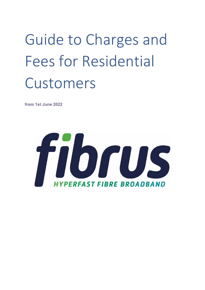Guide to Charges and Fees for Residential Customers

**from 1st June 2022**

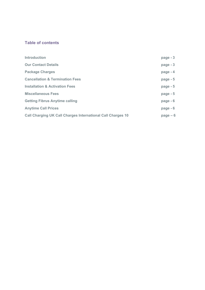# **Table of contents**

| <b>Introduction</b>                                                | $page - 3$ |
|--------------------------------------------------------------------|------------|
| <b>Our Contact Details</b>                                         | $page - 3$ |
| <b>Package Charges</b>                                             | page $-4$  |
| <b>Cancellation &amp; Termination Fees</b>                         | page $-5$  |
| <b>Installation &amp; Activation Fees</b>                          | page - 5   |
| <b>Miscellaneous Fees</b>                                          | page $-5$  |
| <b>Getting Fibrus Anytime calling</b>                              | page $-6$  |
| <b>Anytime Call Prices</b>                                         | page $-6$  |
| <b>Call Charging UK Call Charges International Call Charges 10</b> | $page - 6$ |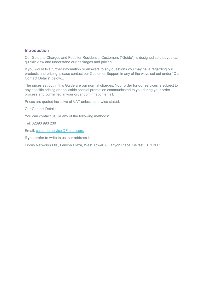#### **Introduction**

Our Guide to Charges and Fees for Residential Customers ("Guide") is designed so that you can quickly view and understand our packages and pricing.

If you would like further information or answers to any questions you may have regarding our products and pricing, please contact our Customer Support in any of the ways set out under "Our Contact Details" below...

The prices set out in this Guide are our normal charges. Your order for our services is subject to any specific pricing or applicable special promotion communicated to you during your order process and confirmed in your order confirmation email.

Prices are quoted inclusive of VAT unless otherwise stated.

Our Contact Details

You can contact us via any of the following methods:

Tel: 02890 993 230

Email: customerservice@Fibrus.com.

If you prefer to write to us, our address is:

Fibrus Networks Ltd., Lanyon Plaza, West Tower, 8 Lanyon Place, Belfast, BT1 3LP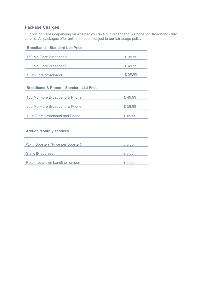# **Package Charges**

Our pricing varies depending on whether you take our Broadband & Phone, or Broadband Only service, All packages offer unlimited data, subject to our fair usage policy

| <b>Broadband - Standard List Price</b>             |         |  |
|----------------------------------------------------|---------|--|
| 150 Mb Fibre Broadband                             | £39.99  |  |
| 300 Mb Fibre Broadband                             | £49.99  |  |
| 1 Gb Fibre broadband                               | £59.99  |  |
| <b>Broadband &amp; Phone - Standard List Price</b> |         |  |
| 150 Mb Fibre Broadband & Phone                     | £49.99  |  |
| 300 Mb Fibre Broadband & Phone                     | £59.99  |  |
| 1 Gb Fibre broadband and Phone                     | £ 69.99 |  |
| <b>Add-on Monthly services</b>                     |         |  |
| Wi-Fi Boosters (Price per Booster)                 | £5.00   |  |
| Static IP address                                  | £6.00   |  |
| Retain your own Landline number                    | £ 0.00  |  |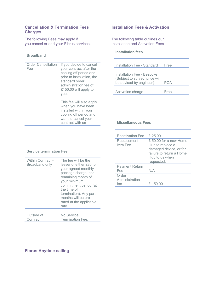## **Cancellation & Termination Fees Installation Fees & Activation Charges**

The following Fees may apply if The following table outlines our<br>vou cancel or end your Fibrus services:<br>Installation and Activation Fees. you cancel or end your Fibrus services:

#### **Broadband**

| <b>Order Cancellation</b><br>Fee | If you decide to cancel<br>your contract after the<br>cooling off period and<br>prior to installation, the<br>standard order<br>administration fee of<br>£150.00 will apply to<br>you. |
|----------------------------------|----------------------------------------------------------------------------------------------------------------------------------------------------------------------------------------|
|                                  | This fee will also apply<br>when you have been<br>installed within your<br>cooling off period and<br>want to cancel your<br>contract with us                                           |

#### **Installation fees**

| Installation Fee - Standard                                                             | Free        |
|-----------------------------------------------------------------------------------------|-------------|
| Installation Fee - Bespoke<br>(Subject to survey, price will<br>be advised by engineer) | POA         |
| Activation charge                                                                       | <b>Free</b> |

#### **Miscellaneous Fees**

| <b>Reactivation Fee</b>        | £25.00                                                                                                                             |
|--------------------------------|------------------------------------------------------------------------------------------------------------------------------------|
| Replacement<br>item Fee        | $£ 50.00$ for a new Home<br>Hub to replace a<br>damaged device, or for<br>failure to return a Home<br>Hub to us when<br>requested. |
| <b>Payment Return</b><br>Fee   | N/A                                                                                                                                |
| Order<br>Administration<br>fee | £ 150.00                                                                                                                           |

#### **Service termination Fee**

| <b>Within Contract -</b><br><b>Broadband only</b> | The fee will be the<br>lesser of either £30, or<br>your agreed monthly<br>package charge, per<br>remaining month of<br>your minimum<br>commitment period (at<br>the time of<br>termination). Any part<br>months will be pro-<br>rated at the applicable<br>rate |
|---------------------------------------------------|-----------------------------------------------------------------------------------------------------------------------------------------------------------------------------------------------------------------------------------------------------------------|
| Outside of                                        | No Service                                                                                                                                                                                                                                                      |
| Contract                                          | <b>Termination Fee.</b>                                                                                                                                                                                                                                         |

# **Fibrus Anytime calling**